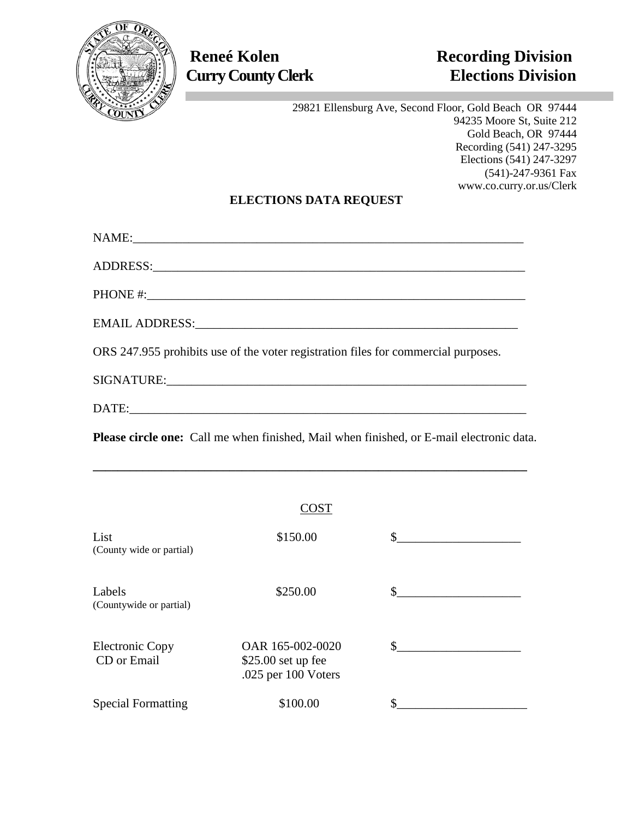

29821 Ellensburg Ave, Second Floor, Gold Beach OR 97444 94235 Moore St, Suite 212 Gold Beach, OR 97444 Recording (541) 247-3295 Elections (541) 247-3297 (541)-247-9361 Fax www.co.curry.or.us/Clerk

## **ELECTIONS DATA REQUEST**

| ORS 247.955 prohibits use of the voter registration files for commercial purposes. |
|------------------------------------------------------------------------------------|
|                                                                                    |

DATE:

**Please circle one:** Call me when finished, Mail when finished, or E-mail electronic data.

**\_\_\_\_\_\_\_\_\_\_\_\_\_\_\_\_\_\_\_\_\_\_\_\_\_\_\_\_\_\_\_\_\_\_\_\_\_\_\_\_\_\_\_\_\_\_\_\_\_\_\_\_\_\_\_\_\_\_\_\_\_\_\_\_\_\_\_\_\_\_**

# COST List  $$150.00$   $$$  Labels \$250.00 \$ (Countywide or partial) Electronic Copy 0AR 165-002-0020 \$ CD or Email \$25.00 set up fee .025 per 100 Voters Special Formatting  $$100.00$   $$$